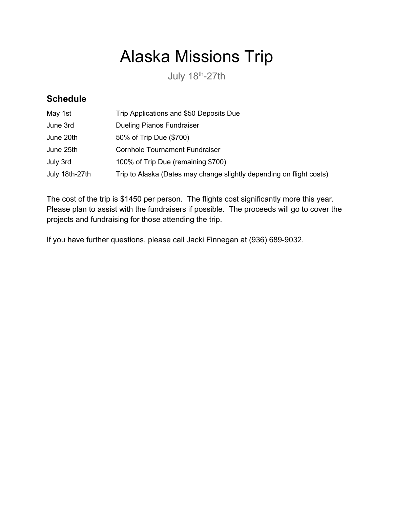## Alaska Missions Trip

July 18th-27th

## **Schedule**

| May 1st        | Trip Applications and \$50 Deposits Due                              |
|----------------|----------------------------------------------------------------------|
| June 3rd       | <b>Dueling Pianos Fundraiser</b>                                     |
| June 20th      | 50% of Trip Due (\$700)                                              |
| June 25th      | <b>Cornhole Tournament Fundraiser</b>                                |
| July 3rd       | 100% of Trip Due (remaining \$700)                                   |
| July 18th-27th | Trip to Alaska (Dates may change slightly depending on flight costs) |

The cost of the trip is \$1450 per person. The flights cost significantly more this year. Please plan to assist with the fundraisers if possible. The proceeds will go to cover the projects and fundraising for those attending the trip.

If you have further questions, please call Jacki Finnegan at (936) 689-9032.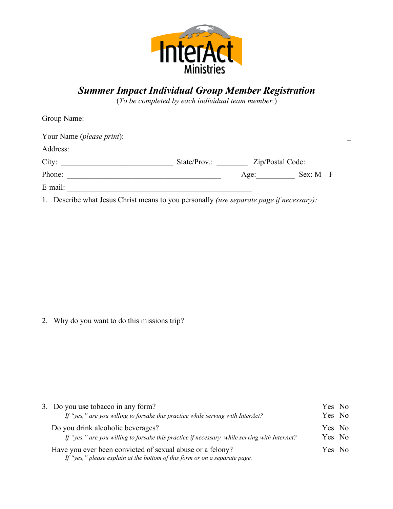

## *Summer Impact Individual Group Member Registration*

(*To be completed by each individual team member.*)

| Group Name:                                                                                     |              |                  |                  |
|-------------------------------------------------------------------------------------------------|--------------|------------------|------------------|
| Your Name ( <i>please print</i> ):                                                              |              |                  |                  |
| Address:                                                                                        |              |                  |                  |
| City:                                                                                           | State/Prov.: | Zip/Postal Code: |                  |
| Phone:                                                                                          |              | Age:             | $Sex: M \quad F$ |
| E-mail:                                                                                         |              |                  |                  |
| 1. Describe what Jesus Christ means to you personally <i>(use separate page if necessary)</i> : |              |                  |                  |

2. Why do you want to do this missions trip?

| 3. Do you use tobacco in any form?                                                                                                      | Yes No |  |
|-----------------------------------------------------------------------------------------------------------------------------------------|--------|--|
| If "yes," are you willing to forsake this practice while serving with InterAct?                                                         | Yes No |  |
| Do you drink alcoholic beverages?                                                                                                       | Yes No |  |
| If "yes," are you willing to forsake this practice if necessary while serving with InterAct?                                            | Yes No |  |
| Have you ever been convicted of sexual abuse or a felony?<br>If "yes," please explain at the bottom of this form or on a separate page. | Yes No |  |